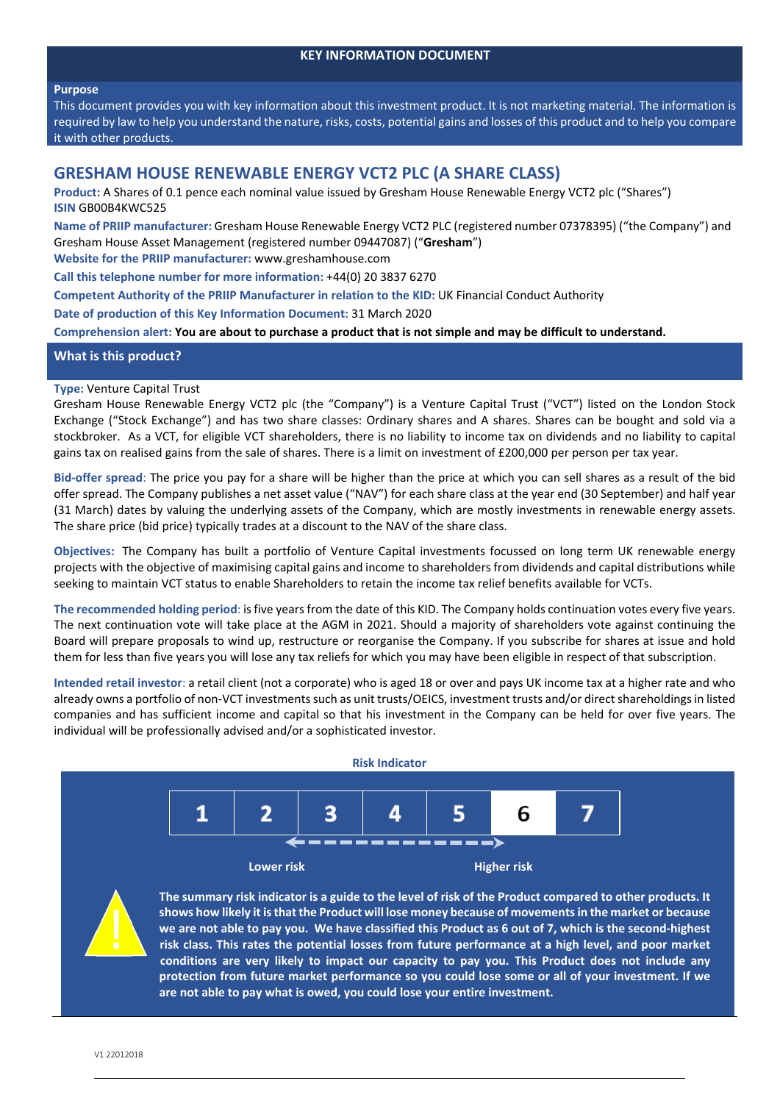#### **Purpose**

This document provides you with key information about this investment product. It is not marketing material. The information is required by law to help you understand the nature, risks, costs, potential gains and losses of this product and to help you compare it with other products.

# **GRESHAM HOUSE RENEWABLE ENERGY VCT2 PLC (A SHARE CLASS)**

**Product:** A Shares of 0.1 pence each nominal value issued by Gresham House Renewable Energy VCT2 plc ("Shares") **ISIN** GB00B4KWC525

**Name of PRIIP manufacturer:** Gresham House Renewable Energy VCT2 PLC (registered number 07378395) ("the Company") and Gresham House Asset Management (registered number 09447087) ("**Gresham**")

**Website for the PRIIP manufacturer:** www.greshamhouse.com

**Call this telephone number for more information:** +44(0) 20 3837 6270

**Competent Authority of the PRIIP Manufacturer in relation to the KID:** UK Financial Conduct Authority

**Date of production of this Key Information Document:** 31 March 2020

Comprehension alert: You are about to purchase a product that is not simple and may be difficult to understand.

# **What is this product?**

## **Type:** Venture Capital Trust

Gresham House Renewable Energy VCT2 plc (the "Company") is a Venture Capital Trust ("VCT") listed on the London Stock Exchange ("Stock Exchange") and has two share classes: Ordinary shares and A shares. Shares can be bought and sold via a stockbroker. As a VCT, for eligible VCT shareholders, there is no liability to income tax on dividends and no liability to capital gains tax on realised gains from the sale of shares. There is a limit on investment of £200,000 per person per tax year.

**Bid‐offer spread**: The price you pay for a share will be higher than the price at which you can sell shares as a result of the bid offer spread. The Company publishes a net asset value ("NAV") for each share class at the year end (30 September) and half year (31 March) dates by valuing the underlying assets of the Company, which are mostly investments in renewable energy assets. The share price (bid price) typically trades at a discount to the NAV of the share class.

**Objectives:** The Company has built a portfolio of Venture Capital investments focussed on long term UK renewable energy projects with the objective of maximising capital gains and income to shareholders from dividends and capital distributions while seeking to maintain VCT status to enable Shareholders to retain the income tax relief benefits available for VCTs.

**The recommended holding period**: isfive yearsfrom the date of this KID. The Company holds continuation votes every five years. The next continuation vote will take place at the AGM in 2021. Should a majority of shareholders vote against continuing the Board will prepare proposals to wind up, restructure or reorganise the Company. If you subscribe for shares at issue and hold them for less than five years you will lose any tax reliefs for which you may have been eligible in respect of that subscription.

**Intended retail investor**: a retail client (not a corporate) who is aged 18 or over and pays UK income tax at a higher rate and who already owns a portfolio of non-VCT investments such as unit trusts/OEICS, investment trusts and/or direct shareholdings in listed companies and has sufficient income and capital so that his investment in the Company can be held for over five years. The individual will be professionally advised and/or a sophisticated investor.





The summary risk indicator is a guide to the level of risk of the Product compared to other products. It **shows how likely it isthat the Product will lose money because of movementsin the market or because** we are not able to pay you. We have classified this Product as 6 out of 7, which is the second-highest **risk class. This rates the potential losses from future performance at a high level, and poor market conditions are very likely to impact our capacity to pay you. This Product does not include any protection from future market performance so you could lose some or all of your investment. If we are not able to pay what is owed, you could lose your entire investment.**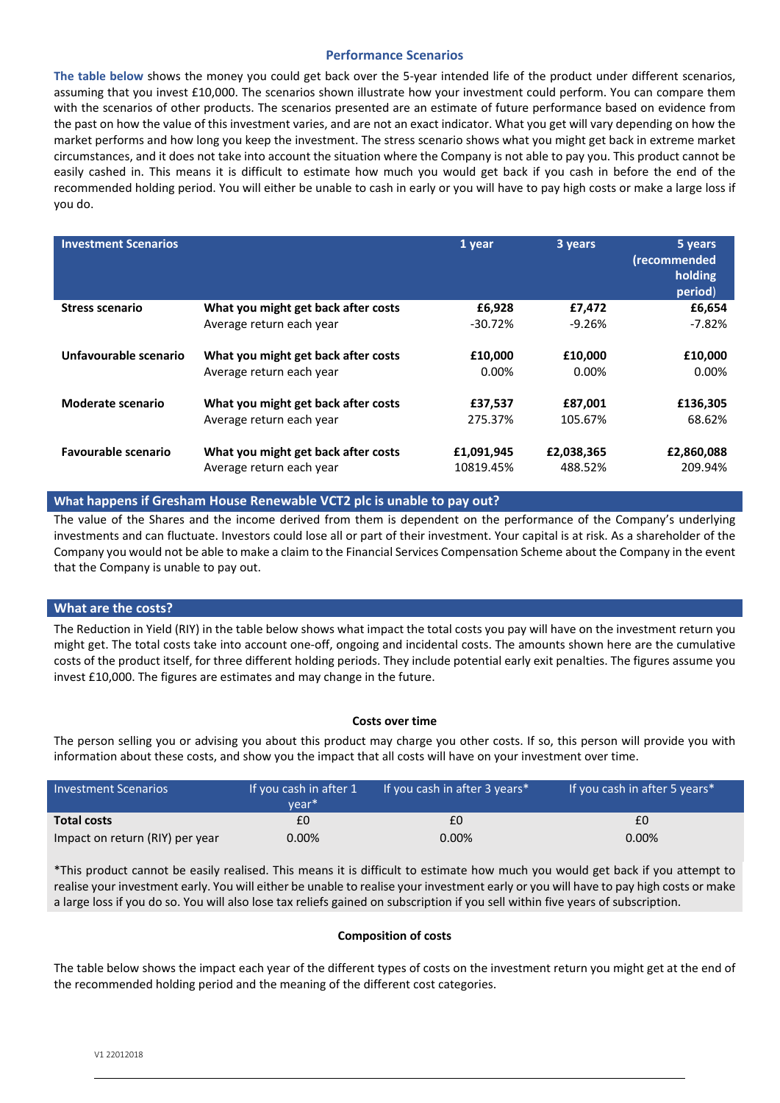## **Performance Scenarios**

**The table below** shows the money you could get back over the 5‐year intended life of the product under different scenarios, assuming that you invest £10,000. The scenarios shown illustrate how your investment could perform. You can compare them with the scenarios of other products. The scenarios presented are an estimate of future performance based on evidence from the past on how the value of this investment varies, and are not an exact indicator. What you get will vary depending on how the market performs and how long you keep the investment. The stress scenario shows what you might get back in extreme market circumstances, and it does not take into account the situation where the Company is not able to pay you. This product cannot be easily cashed in. This means it is difficult to estimate how much you would get back if you cash in before the end of the recommended holding period. You will either be unable to cash in early or you will have to pay high costs or make a large loss if you do.

| <b>Investment Scenarios</b> |                                     | 1 year     | 3 years    | 5 years<br>(recommended<br>holding<br>period) |
|-----------------------------|-------------------------------------|------------|------------|-----------------------------------------------|
| <b>Stress scenario</b>      | What you might get back after costs | £6,928     | £7,472     | £6,654                                        |
|                             | Average return each year            | $-30.72%$  | $-9.26%$   | $-7.82%$                                      |
| Unfavourable scenario       | What you might get back after costs | £10,000    | £10,000    | £10,000                                       |
|                             | Average return each year            | $0.00\%$   | $0.00\%$   | $0.00\%$                                      |
| Moderate scenario           | What you might get back after costs | £37,537    | £87,001    | £136,305                                      |
|                             | Average return each year            | 275.37%    | 105.67%    | 68.62%                                        |
| <b>Favourable scenario</b>  | What you might get back after costs | £1,091,945 | £2,038,365 | £2,860,088                                    |
|                             | Average return each year            | 10819.45%  | 488.52%    | 209.94%                                       |

## **What happens if Gresham House Renewable VCT2 plc is unable to pay out?**

The value of the Shares and the income derived from them is dependent on the performance of the Company's underlying investments and can fluctuate. Investors could lose all or part of their investment. Your capital is at risk. As a shareholder of the Company you would not be able to make a claim to the Financial Services Compensation Scheme about the Company in the event that the Company is unable to pay out.

## **What are the costs?**

The Reduction in Yield (RIY) in the table below shows what impact the total costs you pay will have on the investment return you might get. The total costs take into account one‐off, ongoing and incidental costs. The amounts shown here are the cumulative costs of the product itself, for three different holding periods. They include potential early exit penalties. The figures assume you invest £10,000. The figures are estimates and may change in the future.

## **Costs over time**

The person selling you or advising you about this product may charge you other costs. If so, this person will provide you with information about these costs, and show you the impact that all costs will have on your investment over time.

| <b>Investment Scenarios</b>     | If you cash in after 1<br>vear <sup>*</sup> | If you cash in after 3 years* | If you cash in after 5 years* |
|---------------------------------|---------------------------------------------|-------------------------------|-------------------------------|
| <b>Total costs</b>              | £0                                          | £0                            | £0                            |
| Impact on return (RIY) per year | 0.00%                                       | 0.00%                         | 0.00%                         |

\*This product cannot be easily realised. This means it is difficult to estimate how much you would get back if you attempt to realise your investment early. You will either be unable to realise your investment early or you will have to pay high costs or make a large loss if you do so. You will also lose tax reliefs gained on subscription if you sell within five years of subscription.

## **Composition of costs**

The table below shows the impact each year of the different types of costs on the investment return you might get at the end of the recommended holding period and the meaning of the different cost categories.